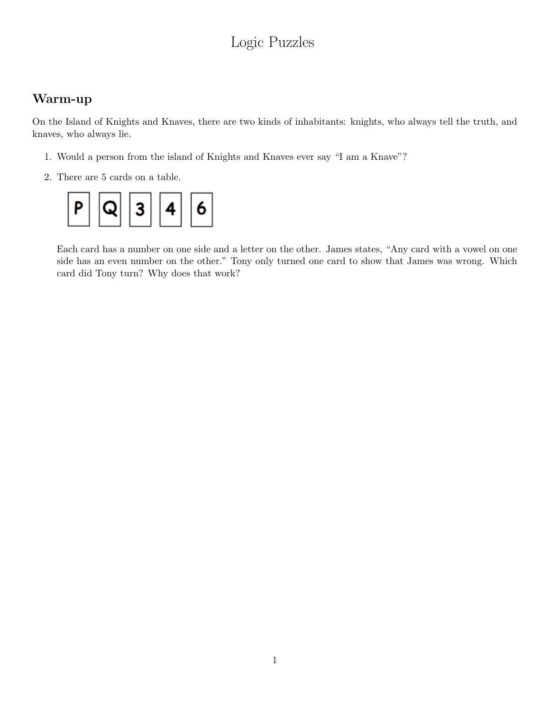# Logic Puzzles

### Warm-up

On the Island of Knights and Knaves, there are two kinds of inhabitants: knights, who always tell the truth, and knaves, who always lie.

- 1. Would a person from the island of Knights and Knaves ever say "I am a Knave"?
- 2. There are 5 cards on a table.



Each card has a number on one side and a letter on the other. James states, "Any card with a vowel on one side has an even number on the other." Tony only turned one card to show that James was wrong. Which card did Tony turn? Why does that work?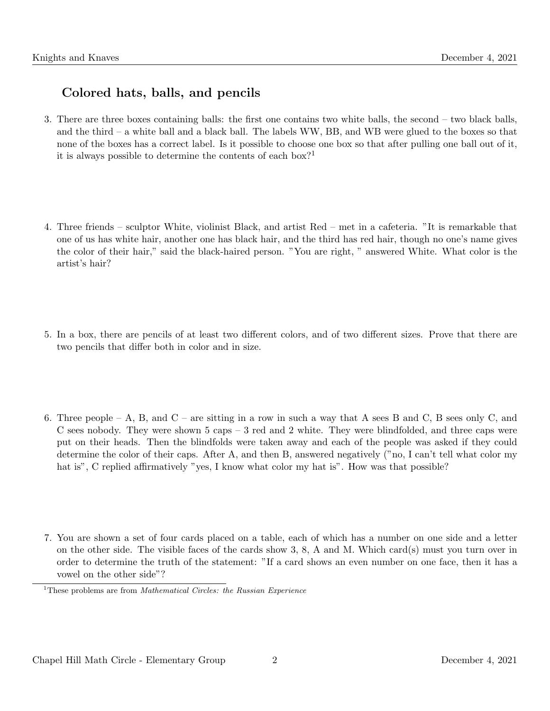# Colored hats, balls, and pencils

- 3. There are three boxes containing balls: the first one contains two white balls, the second two black balls, and the third – a white ball and a black ball. The labels WW, BB, and WB were glued to the boxes so that none of the boxes has a correct label. Is it possible to choose one box so that after pulling one ball out of it, it is always possible to determine the contents of each  $box?$ <sup>1</sup>
- 4. Three friends sculptor White, violinist Black, and artist Red met in a cafeteria. "It is remarkable that one of us has white hair, another one has black hair, and the third has red hair, though no one's name gives the color of their hair," said the black-haired person. "You are right, " answered White. What color is the artist's hair?
- 5. In a box, there are pencils of at least two different colors, and of two different sizes. Prove that there are two pencils that differ both in color and in size.
- 6. Three people A, B, and  $C$  are sitting in a row in such a way that A sees B and C, B sees only C, and C sees nobody. They were shown  $5 \text{ caps} - 3 \text{ red}$  and  $2 \text{ white}$ . They were blindfolded, and three caps were put on their heads. Then the blindfolds were taken away and each of the people was asked if they could determine the color of their caps. After A, and then B, answered negatively ("no, I can't tell what color my hat is", C replied affirmatively "yes, I know what color my hat is". How was that possible?
- 7. You are shown a set of four cards placed on a table, each of which has a number on one side and a letter on the other side. The visible faces of the cards show 3, 8, A and M. Which card(s) must you turn over in order to determine the truth of the statement: "If a card shows an even number on one face, then it has a vowel on the other side"?

<sup>&</sup>lt;sup>1</sup>These problems are from *Mathematical Circles: the Russian Experience*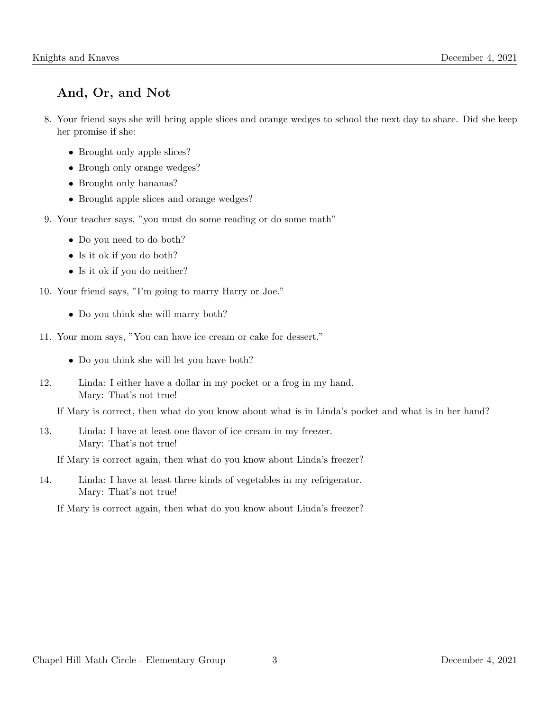# And, Or, and Not

- 8. Your friend says she will bring apple slices and orange wedges to school the next day to share. Did she keep her promise if she:
	- Brought only apple slices?
	- Brough only orange wedges?
	- Brought only bananas?
	- Brought apple slices and orange wedges?
- 9. Your teacher says, "you must do some reading or do some math"
	- Do you need to do both?
	- Is it ok if you do both?
	- Is it ok if you do neither?
- 10. Your friend says, "I'm going to marry Harry or Joe."
	- Do you think she will marry both?
- 11. Your mom says, "You can have ice cream or cake for dessert."
	- Do you think she will let you have both?
- 12. Linda: I either have a dollar in my pocket or a frog in my hand. Mary: That's not true!

If Mary is correct, then what do you know about what is in Linda's pocket and what is in her hand?

13. Linda: I have at least one flavor of ice cream in my freezer. Mary: That's not true!

If Mary is correct again, then what do you know about Linda's freezer?

14. Linda: I have at least three kinds of vegetables in my refrigerator. Mary: That's not true!

If Mary is correct again, then what do you know about Linda's freezer?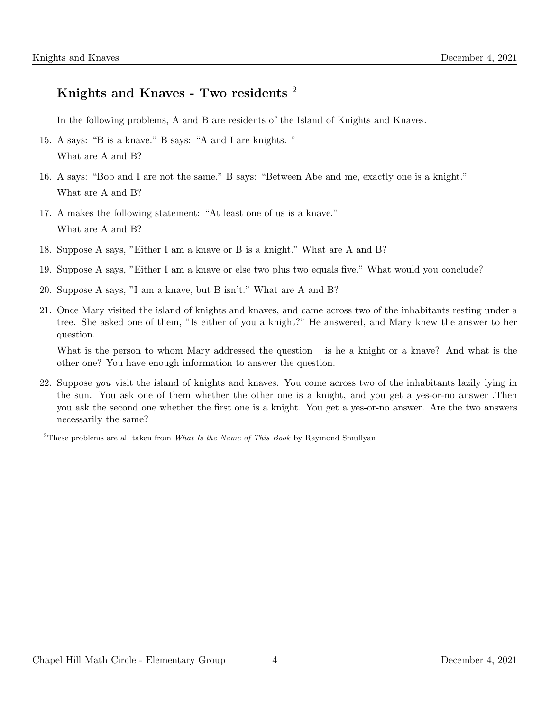### Knights and Knaves - Two residents <sup>2</sup>

In the following problems, A and B are residents of the Island of Knights and Knaves.

- 15. A says: "B is a knave." B says: "A and I are knights. " What are A and B?
- 16. A says: "Bob and I are not the same." B says: "Between Abe and me, exactly one is a knight." What are A and B?
- 17. A makes the following statement: "At least one of us is a knave." What are A and B?
- 18. Suppose A says, "Either I am a knave or B is a knight." What are A and B?
- 19. Suppose A says, "Either I am a knave or else two plus two equals five." What would you conclude?
- 20. Suppose A says, "I am a knave, but B isn't." What are A and B?
- 21. Once Mary visited the island of knights and knaves, and came across two of the inhabitants resting under a tree. She asked one of them, "Is either of you a knight?" He answered, and Mary knew the answer to her question.

What is the person to whom Mary addressed the question – is he a knight or a knave? And what is the other one? You have enough information to answer the question.

22. Suppose you visit the island of knights and knaves. You come across two of the inhabitants lazily lying in the sun. You ask one of them whether the other one is a knight, and you get a yes-or-no answer .Then you ask the second one whether the first one is a knight. You get a yes-or-no answer. Are the two answers necessarily the same?

<sup>&</sup>lt;sup>2</sup>These problems are all taken from *What Is the Name of This Book* by Raymond Smullyan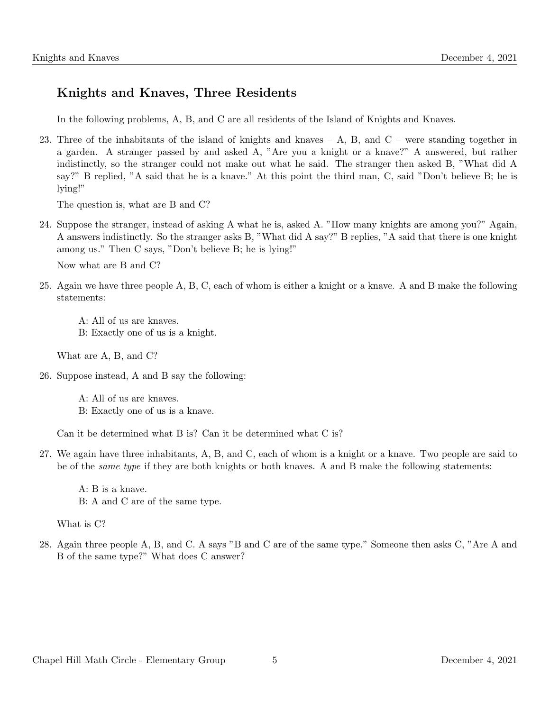## Knights and Knaves, Three Residents

In the following problems, A, B, and C are all residents of the Island of Knights and Knaves.

23. Three of the inhabitants of the island of knights and knaves – A, B, and  $C$  – were standing together in a garden. A stranger passed by and asked A, "Are you a knight or a knave?" A answered, but rather indistinctly, so the stranger could not make out what he said. The stranger then asked B, "What did A say?" B replied, "A said that he is a knave." At this point the third man, C, said "Don't believe B; he is lying!"

The question is, what are B and C?

24. Suppose the stranger, instead of asking A what he is, asked A. "How many knights are among you?" Again, A answers indistinctly. So the stranger asks B, "What did A say?" B replies, "A said that there is one knight among us." Then C says, "Don't believe B; he is lying!"

Now what are B and C?

25. Again we have three people A, B, C, each of whom is either a knight or a knave. A and B make the following statements:

A: All of us are knaves. B: Exactly one of us is a knight.

What are A, B, and C?

26. Suppose instead, A and B say the following:

A: All of us are knaves. B: Exactly one of us is a knave.

Can it be determined what B is? Can it be determined what C is?

27. We again have three inhabitants, A, B, and C, each of whom is a knight or a knave. Two people are said to be of the same type if they are both knights or both knaves. A and B make the following statements:

A: B is a knave. B: A and C are of the same type.

What is C?

28. Again three people A, B, and C. A says "B and C are of the same type." Someone then asks C, "Are A and B of the same type?" What does C answer?